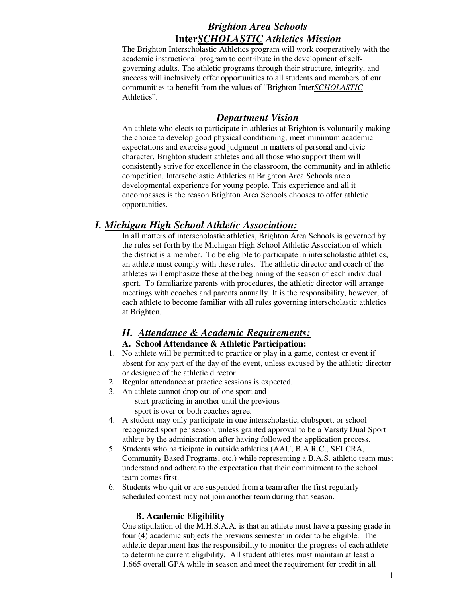# *Brighton Area Schools*  **Inter***SCHOLASTIC Athletics Mission*

The Brighton Interscholastic Athletics program will work cooperatively with the academic instructional program to contribute in the development of selfgoverning adults. The athletic programs through their structure, integrity, and success will inclusively offer opportunities to all students and members of our communities to benefit from the values of "Brighton Inter*SCHOLASTIC* Athletics".

### *Department Vision*

An athlete who elects to participate in athletics at Brighton is voluntarily making the choice to develop good physical conditioning, meet minimum academic expectations and exercise good judgment in matters of personal and civic character. Brighton student athletes and all those who support them will consistently strive for excellence in the classroom, the community and in athletic competition. Interscholastic Athletics at Brighton Area Schools are a developmental experience for young people. This experience and all it encompasses is the reason Brighton Area Schools chooses to offer athletic opportunities.

## *I. Michigan High School Athletic Association:*

In all matters of interscholastic athletics, Brighton Area Schools is governed by the rules set forth by the Michigan High School Athletic Association of which the district is a member. To be eligible to participate in interscholastic athletics, an athlete must comply with these rules. The athletic director and coach of the athletes will emphasize these at the beginning of the season of each individual sport. To familiarize parents with procedures, the athletic director will arrange meetings with coaches and parents annually. It is the responsibility, however, of each athlete to become familiar with all rules governing interscholastic athletics at Brighton.

# *II. Attendance & Academic Requirements:*

#### **A. School Attendance & Athletic Participation:**

- 1. No athlete will be permitted to practice or play in a game, contest or event if absent for any part of the day of the event, unless excused by the athletic director or designee of the athletic director.
- 2. Regular attendance at practice sessions is expected.
- 3. An athlete cannot drop out of one sport and start practicing in another until the previous sport is over or both coaches agree.
- 4. A student may only participate in one interscholastic, clubsport, or school recognized sport per season, unless granted approval to be a Varsity Dual Sport athlete by the administration after having followed the application process.
- 5. Students who participate in outside athletics (AAU, B.A.R.C., SELCRA, Community Based Programs, etc.) while representing a B.A.S. athletic team must understand and adhere to the expectation that their commitment to the school team comes first.
- 6. Students who quit or are suspended from a team after the first regularly scheduled contest may not join another team during that season.

### **B. Academic Eligibility**

One stipulation of the M.H.S.A.A. is that an athlete must have a passing grade in four (4) academic subjects the previous semester in order to be eligible. The athletic department has the responsibility to monitor the progress of each athlete to determine current eligibility. All student athletes must maintain at least a 1.665 overall GPA while in season and meet the requirement for credit in all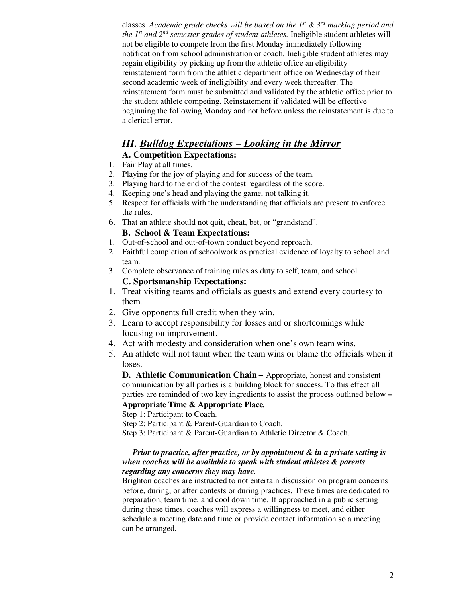classes. *Academic grade checks will be based on the 1st & 3rd marking period and the 1st and 2nd semester grades of student athletes.* Ineligible student athletes will not be eligible to compete from the first Monday immediately following notification from school administration or coach. Ineligible student athletes may regain eligibility by picking up from the athletic office an eligibility reinstatement form from the athletic department office on Wednesday of their second academic week of ineligibility and every week thereafter. The reinstatement form must be submitted and validated by the athletic office prior to the student athlete competing. Reinstatement if validated will be effective beginning the following Monday and not before unless the reinstatement is due to a clerical error.

### *III. Bulldog Expectations – Looking in the Mirror* **A. Competition Expectations:**

- 1. Fair Play at all times.
- 2. Playing for the joy of playing and for success of the team.
- 3. Playing hard to the end of the contest regardless of the score.
- 4. Keeping one's head and playing the game, not talking it.
- 5. Respect for officials with the understanding that officials are present to enforce the rules.
- 6. That an athlete should not quit, cheat, bet, or "grandstand". **B. School & Team Expectations:**
- 1. Out-of-school and out-of-town conduct beyond reproach.
- 2. Faithful completion of schoolwork as practical evidence of loyalty to school and team.
- 3. Complete observance of training rules as duty to self, team, and school. **C. Sportsmanship Expectations:**
- 1. Treat visiting teams and officials as guests and extend every courtesy to them.
- 2. Give opponents full credit when they win.
- 3. Learn to accept responsibility for losses and or shortcomings while focusing on improvement.
- 4. Act with modesty and consideration when one's own team wins.
- 5. An athlete will not taunt when the team wins or blame the officials when it loses.

**D. Athletic Communication Chain** *–* Appropriate, honest and consistent communication by all parties is a building block for success. To this effect all parties are reminded of two key ingredients to assist the process outlined below **– Appropriate Time & Appropriate Place***.* 

Step 1: Participant to Coach.

Step 2: Participant & Parent-Guardian to Coach.

Step 3: Participant & Parent-Guardian to Athletic Director & Coach.

#### *Prior to practice, after practice, or by appointment & in a private setting is when coaches will be available to speak with student athletes & parents regarding any concerns they may have.*

Brighton coaches are instructed to not entertain discussion on program concerns before, during, or after contests or during practices. These times are dedicated to preparation, team time, and cool down time. If approached in a public setting during these times, coaches will express a willingness to meet, and either schedule a meeting date and time or provide contact information so a meeting can be arranged.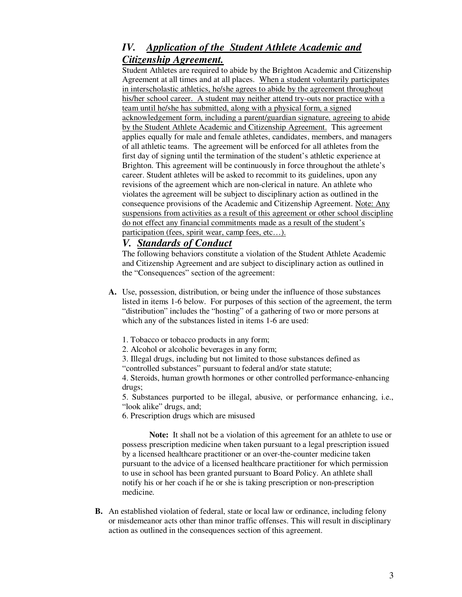# *IV. Application of the Student Athlete Academic and Citizenship Agreement.*

Student Athletes are required to abide by the Brighton Academic and Citizenship Agreement at all times and at all places. When a student voluntarily participates in interscholastic athletics, he/she agrees to abide by the agreement throughout his/her school career. A student may neither attend try-outs nor practice with a team until he/she has submitted, along with a physical form, a signed acknowledgement form, including a parent/guardian signature, agreeing to abide by the Student Athlete Academic and Citizenship Agreement. This agreement applies equally for male and female athletes, candidates, members, and managers of all athletic teams. The agreement will be enforced for all athletes from the first day of signing until the termination of the student's athletic experience at Brighton. This agreement will be continuously in force throughout the athlete's career. Student athletes will be asked to recommit to its guidelines, upon any revisions of the agreement which are non-clerical in nature. An athlete who violates the agreement will be subject to disciplinary action as outlined in the consequence provisions of the Academic and Citizenship Agreement. Note: Any suspensions from activities as a result of this agreement or other school discipline do not effect any financial commitments made as a result of the student's participation (fees, spirit wear, camp fees, etc...).

## *V.**Standards of Conduct*

The following behaviors constitute a violation of the Student Athlete Academic and Citizenship Agreement and are subject to disciplinary action as outlined in the "Consequences" section of the agreement:

- **A.** Use, possession, distribution, or being under the influence of those substances listed in items 1-6 below. For purposes of this section of the agreement, the term "distribution" includes the "hosting" of a gathering of two or more persons at which any of the substances listed in items 1-6 are used:
	- 1. Tobacco or tobacco products in any form;
	- 2. Alcohol or alcoholic beverages in any form;
	- 3. Illegal drugs, including but not limited to those substances defined as "controlled substances" pursuant to federal and/or state statute;

4. Steroids, human growth hormones or other controlled performance-enhancing drugs;

5. Substances purported to be illegal, abusive, or performance enhancing, i.e., "look alike" drugs, and;

6. Prescription drugs which are misused

**Note:** It shall not be a violation of this agreement for an athlete to use or possess prescription medicine when taken pursuant to a legal prescription issued by a licensed healthcare practitioner or an over-the-counter medicine taken pursuant to the advice of a licensed healthcare practitioner for which permission to use in school has been granted pursuant to Board Policy. An athlete shall notify his or her coach if he or she is taking prescription or non-prescription medicine.

**B.** An established violation of federal, state or local law or ordinance, including felony or misdemeanor acts other than minor traffic offenses. This will result in disciplinary action as outlined in the consequences section of this agreement.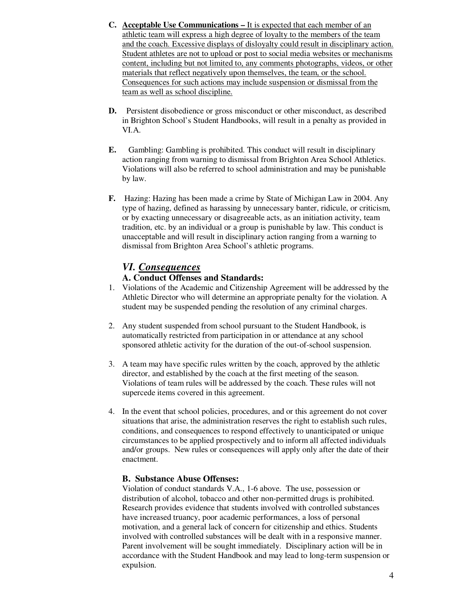- **C. Acceptable Use Communications** It is expected that each member of an athletic team will express a high degree of loyalty to the members of the team and the coach. Excessive displays of disloyalty could result in disciplinary action. Student athletes are not to upload or post to social media websites or mechanisms content, including but not limited to, any comments photographs, videos, or other materials that reflect negatively upon themselves, the team, or the school. Consequences for such actions may include suspension or dismissal from the team as well as school discipline.
- **D.** Persistent disobedience or gross misconduct or other misconduct, as described in Brighton School's Student Handbooks, will result in a penalty as provided in VI.A.
- **E.** Gambling: Gambling is prohibited. This conduct will result in disciplinary action ranging from warning to dismissal from Brighton Area School Athletics. Violations will also be referred to school administration and may be punishable by law.
- **F.** Hazing: Hazing has been made a crime by State of Michigan Law in 2004. Any type of hazing, defined as harassing by unnecessary banter, ridicule, or criticism, or by exacting unnecessary or disagreeable acts, as an initiation activity, team tradition, etc. by an individual or a group is punishable by law. This conduct is unacceptable and will result in disciplinary action ranging from a warning to dismissal from Brighton Area School's athletic programs.

### *VI. Consequences*

#### **A. Conduct Offenses and Standards:**

- 1. Violations of the Academic and Citizenship Agreement will be addressed by the Athletic Director who will determine an appropriate penalty for the violation. A student may be suspended pending the resolution of any criminal charges.
- 2. Any student suspended from school pursuant to the Student Handbook, is automatically restricted from participation in or attendance at any school sponsored athletic activity for the duration of the out-of-school suspension.
- 3. A team may have specific rules written by the coach, approved by the athletic director, and established by the coach at the first meeting of the season. Violations of team rules will be addressed by the coach. These rules will not supercede items covered in this agreement.
- 4. In the event that school policies, procedures, and or this agreement do not cover situations that arise, the administration reserves the right to establish such rules, conditions, and consequences to respond effectively to unanticipated or unique circumstances to be applied prospectively and to inform all affected individuals and/or groups. New rules or consequences will apply only after the date of their enactment.

#### **B. Substance Abuse Offenses:**

Violation of conduct standards V.A., 1-6 above. The use, possession or distribution of alcohol, tobacco and other non-permitted drugs is prohibited. Research provides evidence that students involved with controlled substances have increased truancy, poor academic performances, a loss of personal motivation, and a general lack of concern for citizenship and ethics. Students involved with controlled substances will be dealt with in a responsive manner. Parent involvement will be sought immediately. Disciplinary action will be in accordance with the Student Handbook and may lead to long-term suspension or expulsion.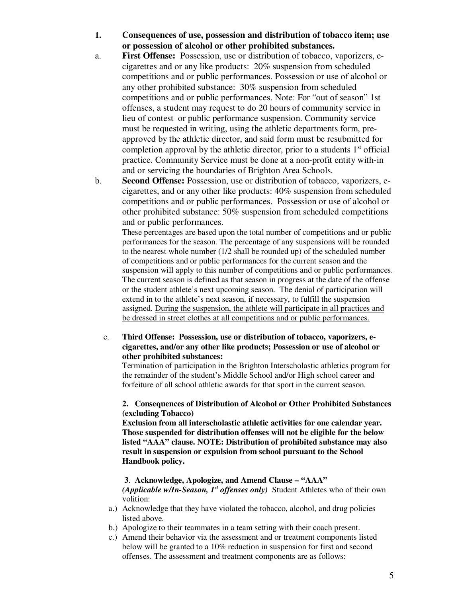- **1. Consequences of use, possession and distribution of tobacco item; use or possession of alcohol or other prohibited substances.**
- a. **First Offense:** Possession, use or distribution of tobacco, vaporizers, ecigarettes and or any like products: 20% suspension from scheduled competitions and or public performances. Possession or use of alcohol or any other prohibited substance: 30% suspension from scheduled competitions and or public performances. Note: For "out of season" 1st offenses, a student may request to do 20 hours of community service in lieu of contest or public performance suspension. Community service must be requested in writing, using the athletic departments form, preapproved by the athletic director, and said form must be resubmitted for completion approval by the athletic director, prior to a students  $1<sup>st</sup>$  official practice. Community Service must be done at a non-profit entity with-in and or servicing the boundaries of Brighton Area Schools.
- b. **Second Offense:** Possession, use or distribution of tobacco, vaporizers, ecigarettes, and or any other like products: 40% suspension from scheduled competitions and or public performances. Possession or use of alcohol or other prohibited substance: 50% suspension from scheduled competitions and or public performances.

These percentages are based upon the total number of competitions and or public performances for the season. The percentage of any suspensions will be rounded to the nearest whole number (1/2 shall be rounded up) of the scheduled number of competitions and or public performances for the current season and the suspension will apply to this number of competitions and or public performances. The current season is defined as that season in progress at the date of the offense or the student athlete's next upcoming season. The denial of participation will extend in to the athlete's next season, if necessary, to fulfill the suspension assigned. During the suspension, the athlete will participate in all practices and be dressed in street clothes at all competitions and or public performances.

 c. **Third Offense: Possession, use or distribution of tobacco, vaporizers, ecigarettes, and/or any other like products; Possession or use of alcohol or other prohibited substances:** 

Termination of participation in the Brighton Interscholastic athletics program for the remainder of the student's Middle School and/or High school career and forfeiture of all school athletic awards for that sport in the current season.

#### **2. Consequences of Distribution of Alcohol or Other Prohibited Substances (excluding Tobacco)**

**Exclusion from all interscholastic athletic activities for one calendar year. Those suspended for distribution offenses will not be eligible for the below listed "AAA" clause. NOTE: Distribution of prohibited substance may also result in suspension or expulsion from school pursuant to the School Handbook policy.** 

#### **3**. **Acknowledge, Apologize, and Amend Clause – "AAA"**

*(Applicable w/In-Season, 1st offenses only)* Student Athletes who of their own volition:

- a.) Acknowledge that they have violated the tobacco, alcohol, and drug policies listed above.
- b.) Apologize to their teammates in a team setting with their coach present.
- c.) Amend their behavior via the assessment and or treatment components listed below will be granted to a 10% reduction in suspension for first and second offenses. The assessment and treatment components are as follows: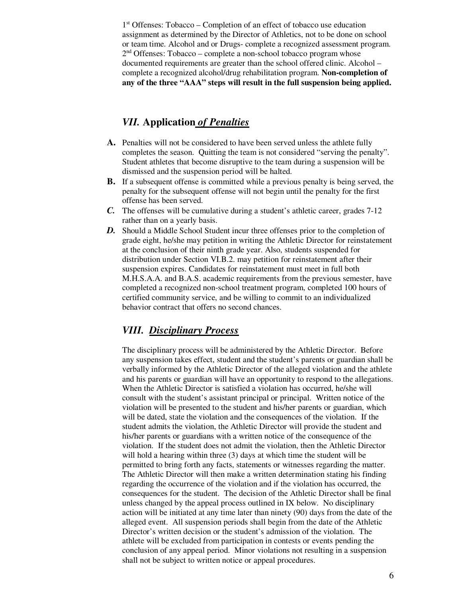1<sup>st</sup> Offenses: Tobacco – Completion of an effect of tobacco use education assignment as determined by the Director of Athletics, not to be done on school or team time. Alcohol and or Drugs- complete a recognized assessment program. 2<sup>nd</sup> Offenses: Tobacco – complete a non-school tobacco program whose documented requirements are greater than the school offered clinic. Alcohol – complete a recognized alcohol/drug rehabilitation program. **Non-completion of any of the three "AAA" steps will result in the full suspension being applied.** 

### *VII.* **Application** *of Penalties*

- **A.** Penalties will not be considered to have been served unless the athlete fully completes the season. Quitting the team is not considered "serving the penalty". Student athletes that become disruptive to the team during a suspension will be dismissed and the suspension period will be halted.
- **B.** If a subsequent offense is committed while a previous penalty is being served, the penalty for the subsequent offense will not begin until the penalty for the first offense has been served.
- *C.* The offenses will be cumulative during a student's athletic career, grades 7-12 rather than on a yearly basis.
- *D.* Should a Middle School Student incur three offenses prior to the completion of grade eight, he/she may petition in writing the Athletic Director for reinstatement at the conclusion of their ninth grade year. Also, students suspended for distribution under Section VI.B.2. may petition for reinstatement after their suspension expires. Candidates for reinstatement must meet in full both M.H.S.A.A. and B.A.S. academic requirements from the previous semester, have completed a recognized non-school treatment program, completed 100 hours of certified community service, and be willing to commit to an individualized behavior contract that offers no second chances.

### *VIII. Disciplinary Process*

The disciplinary process will be administered by the Athletic Director. Before any suspension takes effect, student and the student's parents or guardian shall be verbally informed by the Athletic Director of the alleged violation and the athlete and his parents or guardian will have an opportunity to respond to the allegations. When the Athletic Director is satisfied a violation has occurred, he/she will consult with the student's assistant principal or principal. Written notice of the violation will be presented to the student and his/her parents or guardian, which will be dated, state the violation and the consequences of the violation. If the student admits the violation, the Athletic Director will provide the student and his/her parents or guardians with a written notice of the consequence of the violation. If the student does not admit the violation, then the Athletic Director will hold a hearing within three (3) days at which time the student will be permitted to bring forth any facts, statements or witnesses regarding the matter. The Athletic Director will then make a written determination stating his finding regarding the occurrence of the violation and if the violation has occurred, the consequences for the student. The decision of the Athletic Director shall be final unless changed by the appeal process outlined in IX below. No disciplinary action will be initiated at any time later than ninety (90) days from the date of the alleged event. All suspension periods shall begin from the date of the Athletic Director's written decision or the student's admission of the violation. The athlete will be excluded from participation in contests or events pending the conclusion of any appeal period. Minor violations not resulting in a suspension shall not be subject to written notice or appeal procedures.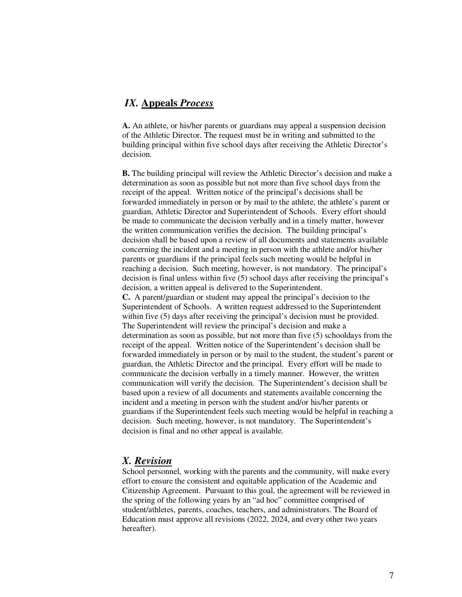### *IX.* **Appeals** *Process*

**A.** An athlete, or his/her parents or guardians may appeal a suspension decision of the Athletic Director. The request must be in writing and submitted to the building principal within five school days after receiving the Athletic Director's decision.

**B.** The building principal will review the Athletic Director's decision and make a determination as soon as possible but not more than five school days from the receipt of the appeal. Written notice of the principal's decisions shall be forwarded immediately in person or by mail to the athlete, the athlete's parent or guardian, Athletic Director and Superintendent of Schools. Every effort should be made to communicate the decision verbally and in a timely matter, however the written communication verifies the decision. The building principal's decision shall be based upon a review of all documents and statements available concerning the incident and a meeting in person with the athlete and/or his/her parents or guardians if the principal feels such meeting would be helpful in reaching a decision. Such meeting, however, is not mandatory. The principal's decision is final unless within five (5) school days after receiving the principal's decision, a written appeal is delivered to the Superintendent. **C.** A parent/guardian or student may appeal the principal's decision to the Superintendent of Schools. A written request addressed to the Superintendent within five (5) days after receiving the principal's decision must be provided. The Superintendent will review the principal's decision and make a determination as soon as possible, but not more than five (5) schooldays from the receipt of the appeal. Written notice of the Superintendent's decision shall be forwarded immediately in person or by mail to the student, the student's parent or guardian, the Athletic Director and the principal. Every effort will be made to communicate the decision verbally in a timely manner. However, the written communication will verify the decision. The Superintendent's decision shall be based upon a review of all documents and statements available concerning the incident and a meeting in person with the student and/or his/her parents or guardians if the Superintendent feels such meeting would be helpful in reaching a decision. Such meeting, however, is not mandatory. The Superintendent's decision is final and no other appeal is available.

#### *X. Revision*

School personnel, working with the parents and the community, will make every effort to ensure the consistent and equitable application of the Academic and Citizenship Agreement. Pursuant to this goal, the agreement will be reviewed in the spring of the following years by an "ad hoc" committee comprised of student/athletes, parents, coaches, teachers, and administrators. The Board of Education must approve all revisions (2022, 2024, and every other two years hereafter).